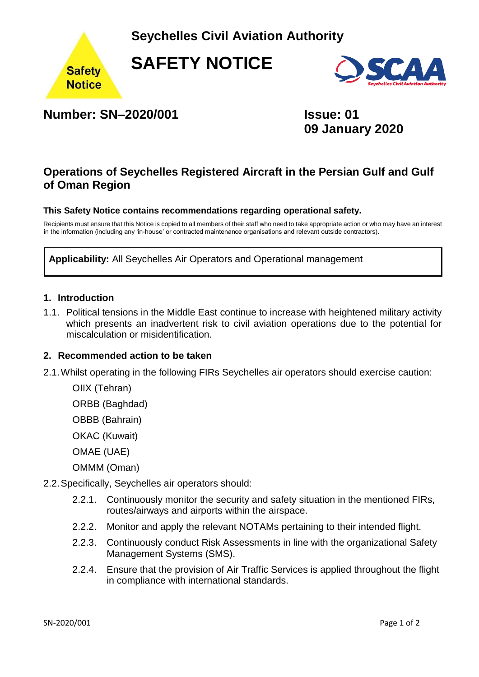**Seychelles Civil Aviation Authority** 



**SAFETY NOTICE** 



# **Number: SN–2020/001 Issue: 01**

**09 January 2020**

# **Operations of Seychelles Registered Aircraft in the Persian Gulf and Gulf of Oman Region**

#### **This Safety Notice contains recommendations regarding operational safety.**

Recipients must ensure that this Notice is copied to all members of their staff who need to take appropriate action or who may have an interest in the information (including any 'in-house' or contracted maintenance organisations and relevant outside contractors).

**Applicability:** All Seychelles Air Operators and Operational management

#### **1. Introduction**

1.1. Political tensions in the Middle East continue to increase with heightened military activity which presents an inadvertent risk to civil aviation operations due to the potential for miscalculation or misidentification.

#### **2. Recommended action to be taken**

2.1.Whilst operating in the following FIRs Seychelles air operators should exercise caution:

OIIX (Tehran)

ORBB (Baghdad)

OBBB (Bahrain)

OKAC (Kuwait)

OMAE (UAE)

OMMM (Oman)

- 2.2.Specifically, Seychelles air operators should:
	- 2.2.1. Continuously monitor the security and safety situation in the mentioned FIRs, routes/airways and airports within the airspace.
	- 2.2.2. Monitor and apply the relevant NOTAMs pertaining to their intended flight.
	- 2.2.3. Continuously conduct Risk Assessments in line with the organizational Safety Management Systems (SMS).
	- 2.2.4. Ensure that the provision of Air Traffic Services is applied throughout the flight in compliance with international standards.